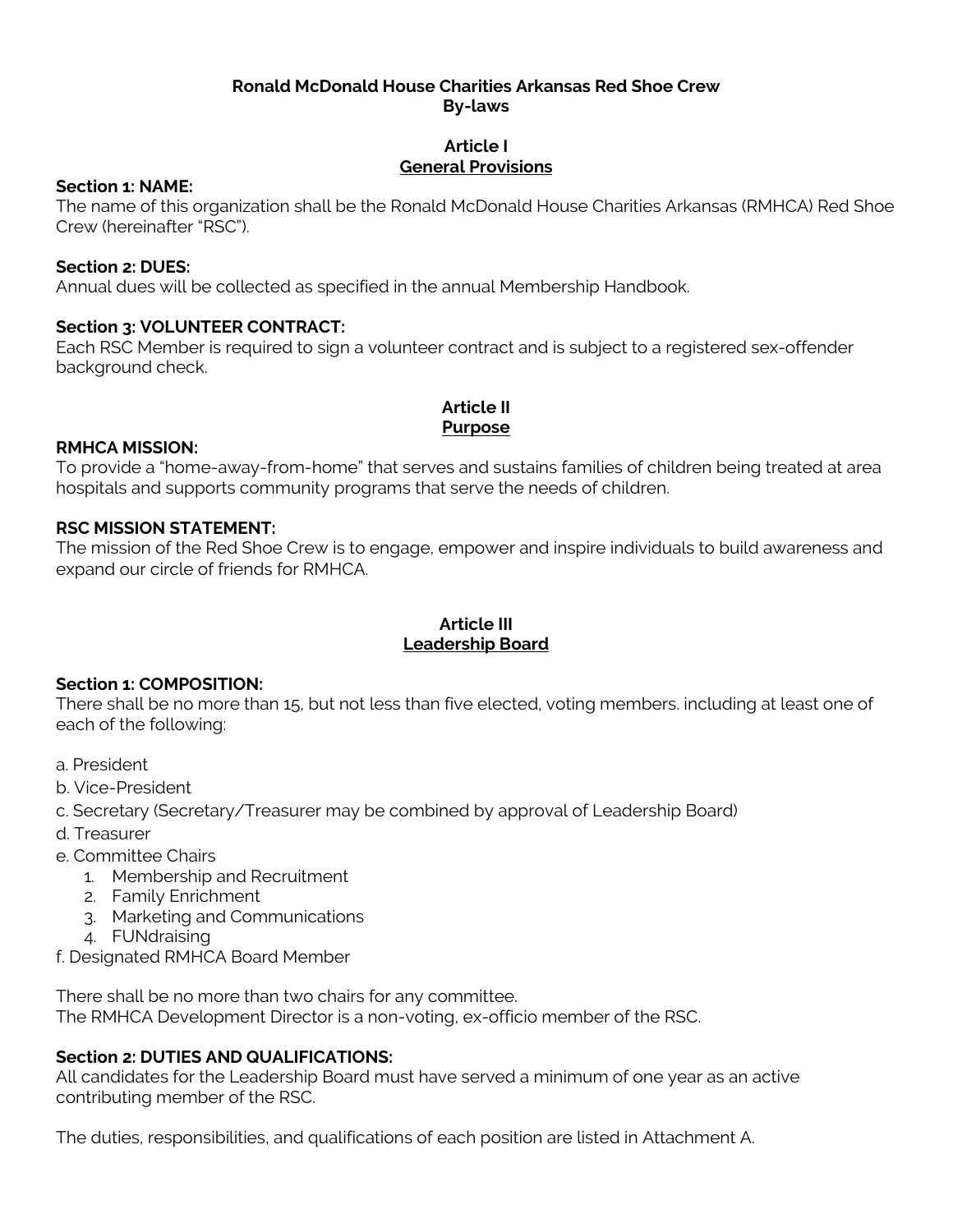### **Ronald McDonald House Charities Arkansas Red Shoe Crew By-laws**

## **Article I General Provisions**

### **Section 1: NAME:**

The name of this organization shall be the Ronald McDonald House Charities Arkansas (RMHCA) Red Shoe Crew (hereinafter "RSC").

### **Section 2: DUES:**

Annual dues will be collected as specified in the annual Membership Handbook.

### **Section 3: VOLUNTEER CONTRACT:**

Each RSC Member is required to sign a volunteer contract and is subject to a registered sex-offender background check.

#### **Article II Purpose**

### **RMHCA MISSION:**

To provide a "home-away-from-home" that serves and sustains families of children being treated at area hospitals and supports community programs that serve the needs of children.

### **RSC MISSION STATEMENT:**

The mission of the Red Shoe Crew is to engage, empower and inspire individuals to build awareness and expand our circle of friends for RMHCA.

### **Article III Leadership Board**

## **Section 1: COMPOSITION:**

There shall be no more than 15, but not less than five elected, voting members. including at least one of each of the following:

- a. President
- b. Vice-President
- c. Secretary (Secretary/Treasurer may be combined by approval of Leadership Board)
- d. Treasurer
- e. Committee Chairs
	- 1. Membership and Recruitment
	- 2. Family Enrichment
	- 3. Marketing and Communications
	- 4. FUNdraising

f. Designated RMHCA Board Member

There shall be no more than two chairs for any committee. The RMHCA Development Director is a non-voting, ex-officio member of the RSC.

## **Section 2: DUTIES AND QUALIFICATIONS:**

All candidates for the Leadership Board must have served a minimum of one year as an active contributing member of the RSC.

The duties, responsibilities, and qualifications of each position are listed in Attachment A.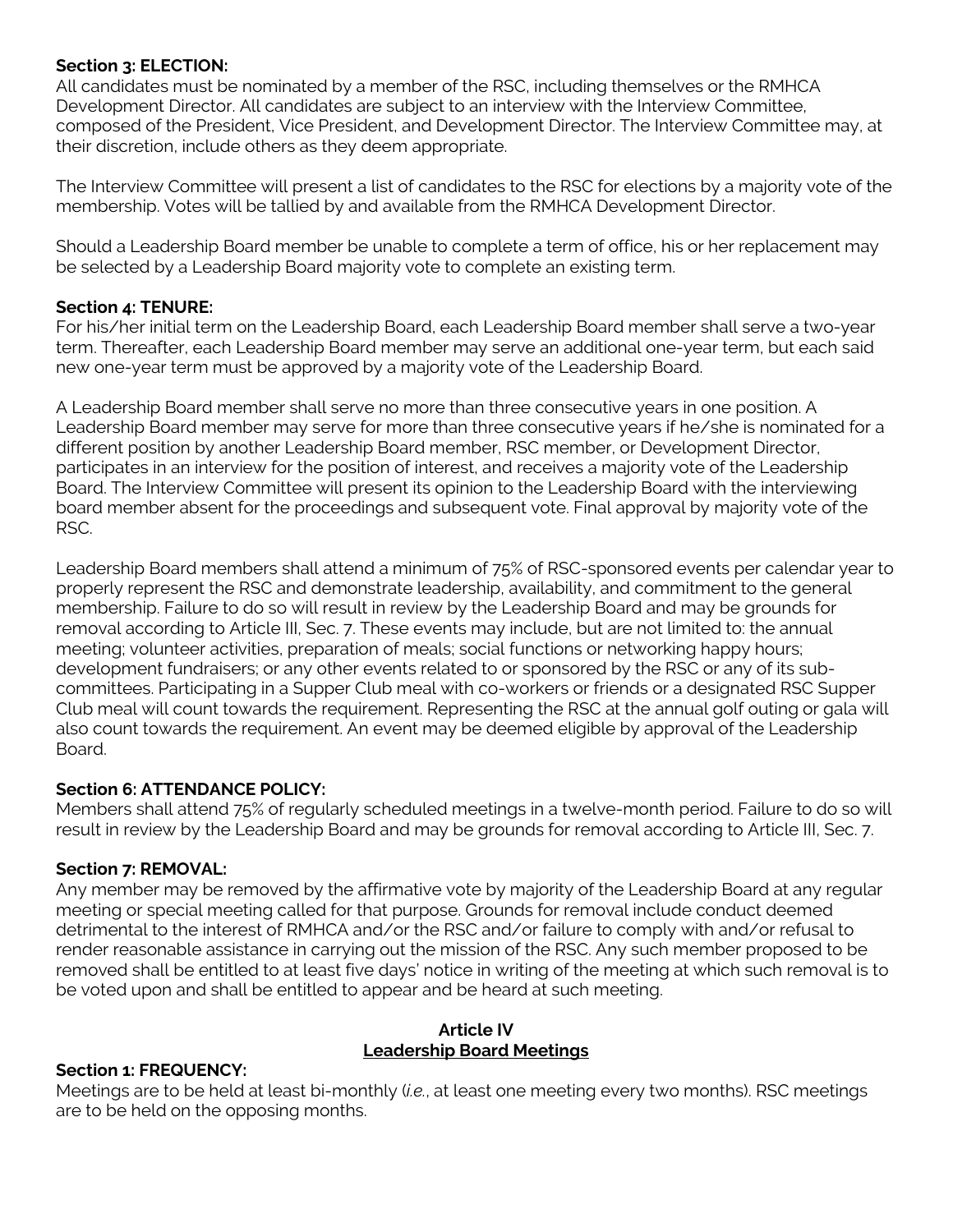### **Section 3: ELECTION:**

All candidates must be nominated by a member of the RSC, including themselves or the RMHCA Development Director. All candidates are subject to an interview with the Interview Committee, composed of the President, Vice President, and Development Director. The Interview Committee may, at their discretion, include others as they deem appropriate.

The Interview Committee will present a list of candidates to the RSC for elections by a majority vote of the membership. Votes will be tallied by and available from the RMHCA Development Director.

Should a Leadership Board member be unable to complete a term of office, his or her replacement may be selected by a Leadership Board majority vote to complete an existing term.

## **Section 4: TENURE:**

For his/her initial term on the Leadership Board, each Leadership Board member shall serve a two-year term. Thereafter, each Leadership Board member may serve an additional one-year term, but each said new one-year term must be approved by a majority vote of the Leadership Board.

A Leadership Board member shall serve no more than three consecutive years in one position. A Leadership Board member may serve for more than three consecutive years if he/she is nominated for a different position by another Leadership Board member, RSC member, or Development Director, participates in an interview for the position of interest, and receives a majority vote of the Leadership Board. The Interview Committee will present its opinion to the Leadership Board with the interviewing board member absent for the proceedings and subsequent vote. Final approval by majority vote of the RSC.

Leadership Board members shall attend a minimum of 75% of RSC-sponsored events per calendar year to properly represent the RSC and demonstrate leadership, availability, and commitment to the general membership. Failure to do so will result in review by the Leadership Board and may be grounds for removal according to Article III, Sec. 7. These events may include, but are not limited to: the annual meeting; volunteer activities, preparation of meals; social functions or networking happy hours; development fundraisers; or any other events related to or sponsored by the RSC or any of its subcommittees. Participating in a Supper Club meal with co-workers or friends or a designated RSC Supper Club meal will count towards the requirement. Representing the RSC at the annual golf outing or gala will also count towards the requirement. An event may be deemed eligible by approval of the Leadership Board.

## **Section 6: ATTENDANCE POLICY:**

Members shall attend 75% of regularly scheduled meetings in a twelve-month period. Failure to do so will result in review by the Leadership Board and may be grounds for removal according to Article III, Sec. 7.

## **Section 7: REMOVAL:**

Any member may be removed by the affirmative vote by majority of the Leadership Board at any regular meeting or special meeting called for that purpose. Grounds for removal include conduct deemed detrimental to the interest of RMHCA and/or the RSC and/or failure to comply with and/or refusal to render reasonable assistance in carrying out the mission of the RSC. Any such member proposed to be removed shall be entitled to at least five days' notice in writing of the meeting at which such removal is to be voted upon and shall be entitled to appear and be heard at such meeting.

#### **Article IV Leadership Board Meetings**

#### **Section 1: FREQUENCY:**

Meetings are to be held at least bi-monthly (*i.e.*, at least one meeting every two months). RSC meetings are to be held on the opposing months.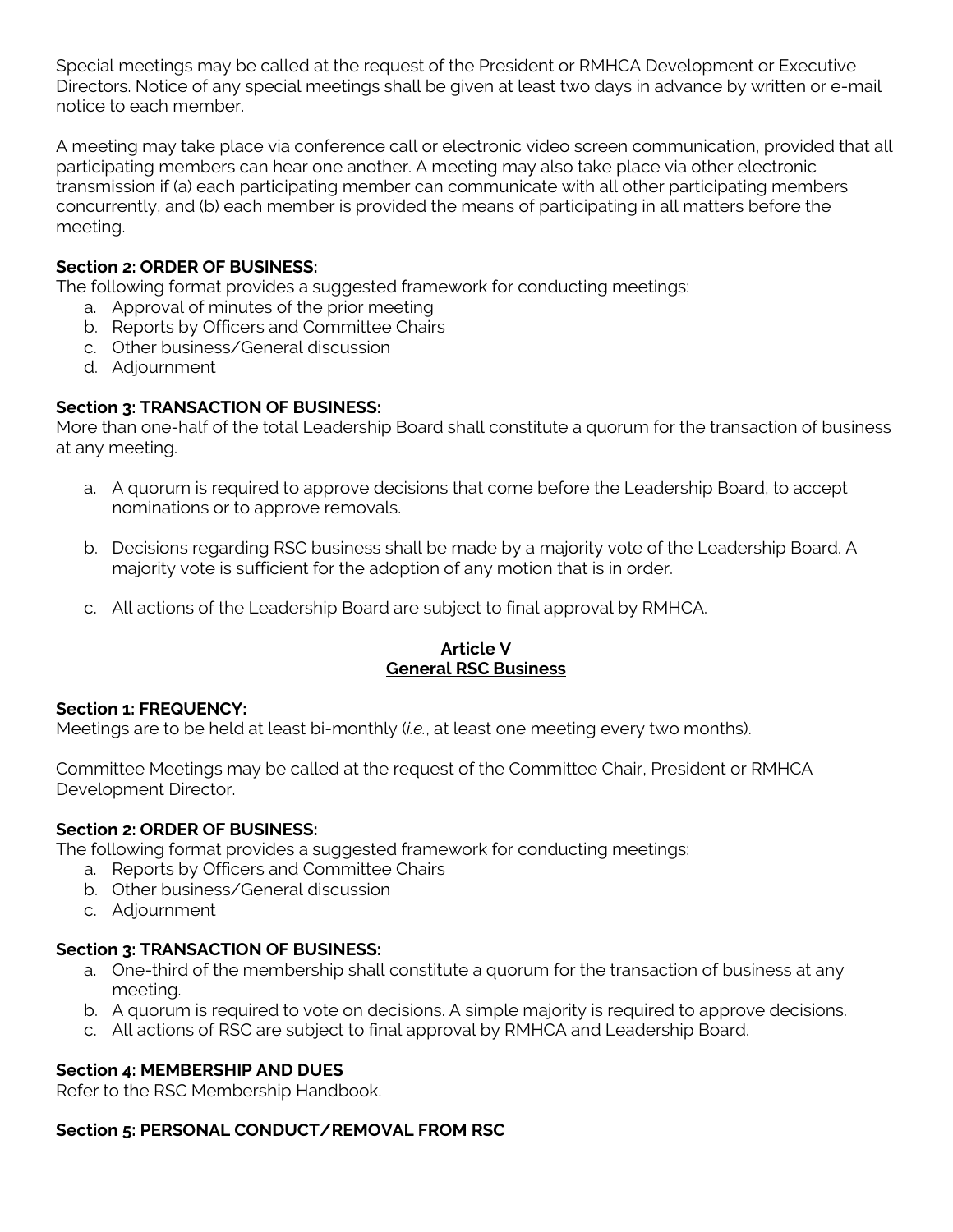Special meetings may be called at the request of the President or RMHCA Development or Executive Directors. Notice of any special meetings shall be given at least two days in advance by written or e-mail notice to each member.

A meeting may take place via conference call or electronic video screen communication, provided that all participating members can hear one another. A meeting may also take place via other electronic transmission if (a) each participating member can communicate with all other participating members concurrently, and (b) each member is provided the means of participating in all matters before the meeting.

## **Section 2: ORDER OF BUSINESS:**

The following format provides a suggested framework for conducting meetings:

- a. Approval of minutes of the prior meeting
- b. Reports by Officers and Committee Chairs
- c. Other business/General discussion
- d. Adjournment

## **Section 3: TRANSACTION OF BUSINESS:**

More than one-half of the total Leadership Board shall constitute a quorum for the transaction of business at any meeting.

- a. A quorum is required to approve decisions that come before the Leadership Board, to accept nominations or to approve removals.
- b. Decisions regarding RSC business shall be made by a majority vote of the Leadership Board. A majority vote is sufficient for the adoption of any motion that is in order.
- c. All actions of the Leadership Board are subject to final approval by RMHCA.

#### **Article V General RSC Business**

## **Section 1: FREQUENCY:**

Meetings are to be held at least bi-monthly (*i.e.*, at least one meeting every two months).

Committee Meetings may be called at the request of the Committee Chair, President or RMHCA Development Director.

## **Section 2: ORDER OF BUSINESS:**

The following format provides a suggested framework for conducting meetings:

- a. Reports by Officers and Committee Chairs
- b. Other business/General discussion
- c. Adjournment

## **Section 3: TRANSACTION OF BUSINESS:**

- a. One-third of the membership shall constitute a quorum for the transaction of business at any meeting.
- b. A quorum is required to vote on decisions. A simple majority is required to approve decisions.
- c. All actions of RSC are subject to final approval by RMHCA and Leadership Board.

## **Section 4: MEMBERSHIP AND DUES**

Refer to the RSC Membership Handbook.

## **Section 5: PERSONAL CONDUCT/REMOVAL FROM RSC**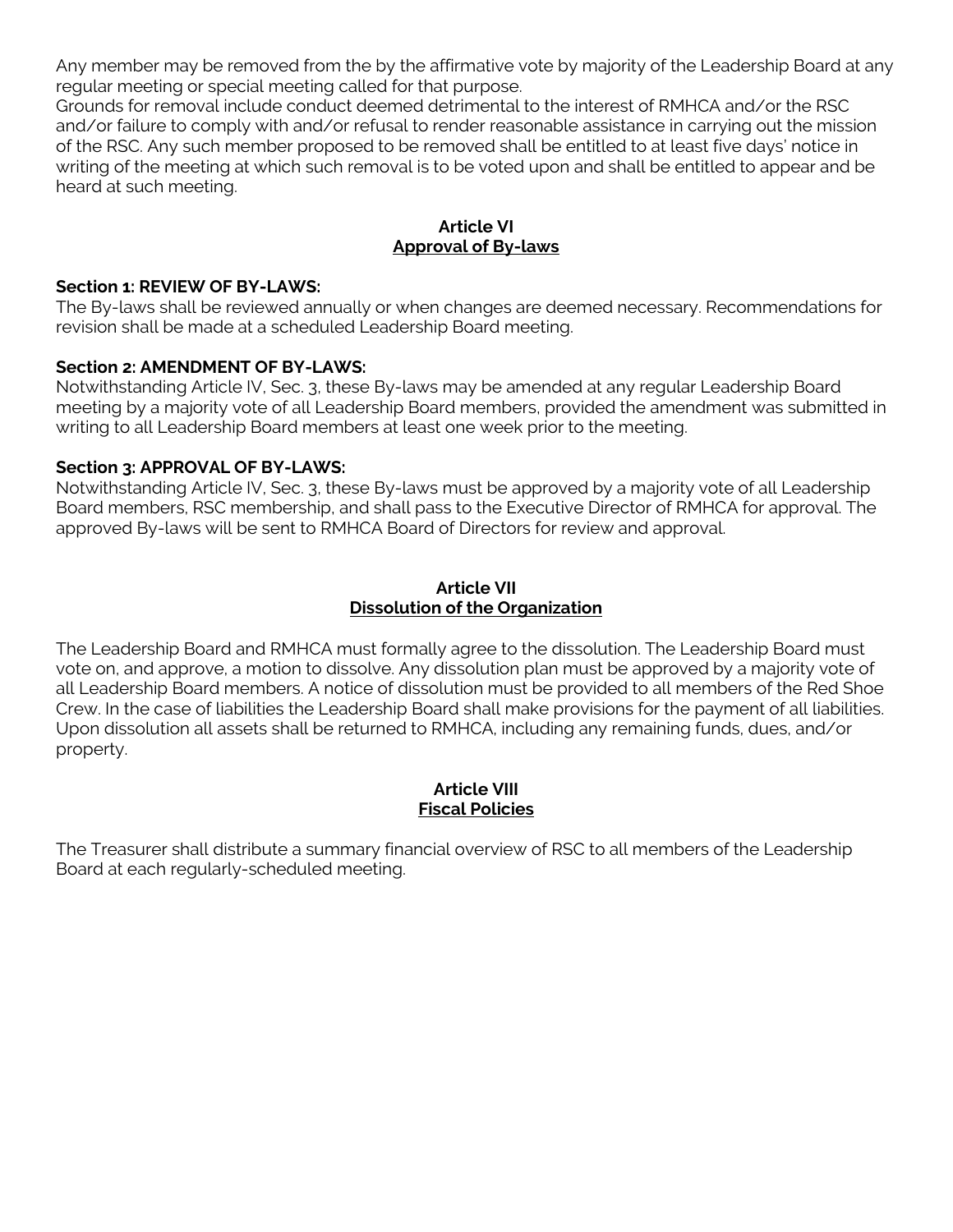Any member may be removed from the by the affirmative vote by majority of the Leadership Board at any regular meeting or special meeting called for that purpose.

Grounds for removal include conduct deemed detrimental to the interest of RMHCA and/or the RSC and/or failure to comply with and/or refusal to render reasonable assistance in carrying out the mission of the RSC. Any such member proposed to be removed shall be entitled to at least five days' notice in writing of the meeting at which such removal is to be voted upon and shall be entitled to appear and be heard at such meeting.

## **Article VI Approval of By-laws**

#### **Section 1: REVIEW OF BY-LAWS:**

The By-laws shall be reviewed annually or when changes are deemed necessary. Recommendations for revision shall be made at a scheduled Leadership Board meeting.

#### **Section 2: AMENDMENT OF BY-LAWS:**

Notwithstanding Article IV, Sec. 3, these By-laws may be amended at any regular Leadership Board meeting by a majority vote of all Leadership Board members, provided the amendment was submitted in writing to all Leadership Board members at least one week prior to the meeting.

#### **Section 3: APPROVAL OF BY-LAWS:**

Notwithstanding Article IV, Sec. 3, these By-laws must be approved by a majority vote of all Leadership Board members, RSC membership, and shall pass to the Executive Director of RMHCA for approval. The approved By-laws will be sent to RMHCA Board of Directors for review and approval.

#### **Article VII Dissolution of the Organization**

The Leadership Board and RMHCA must formally agree to the dissolution. The Leadership Board must vote on, and approve, a motion to dissolve. Any dissolution plan must be approved by a majority vote of all Leadership Board members. A notice of dissolution must be provided to all members of the Red Shoe Crew. In the case of liabilities the Leadership Board shall make provisions for the payment of all liabilities. Upon dissolution all assets shall be returned to RMHCA, including any remaining funds, dues, and/or property.

#### **Article VIII Fiscal Policies**

The Treasurer shall distribute a summary financial overview of RSC to all members of the Leadership Board at each regularly-scheduled meeting.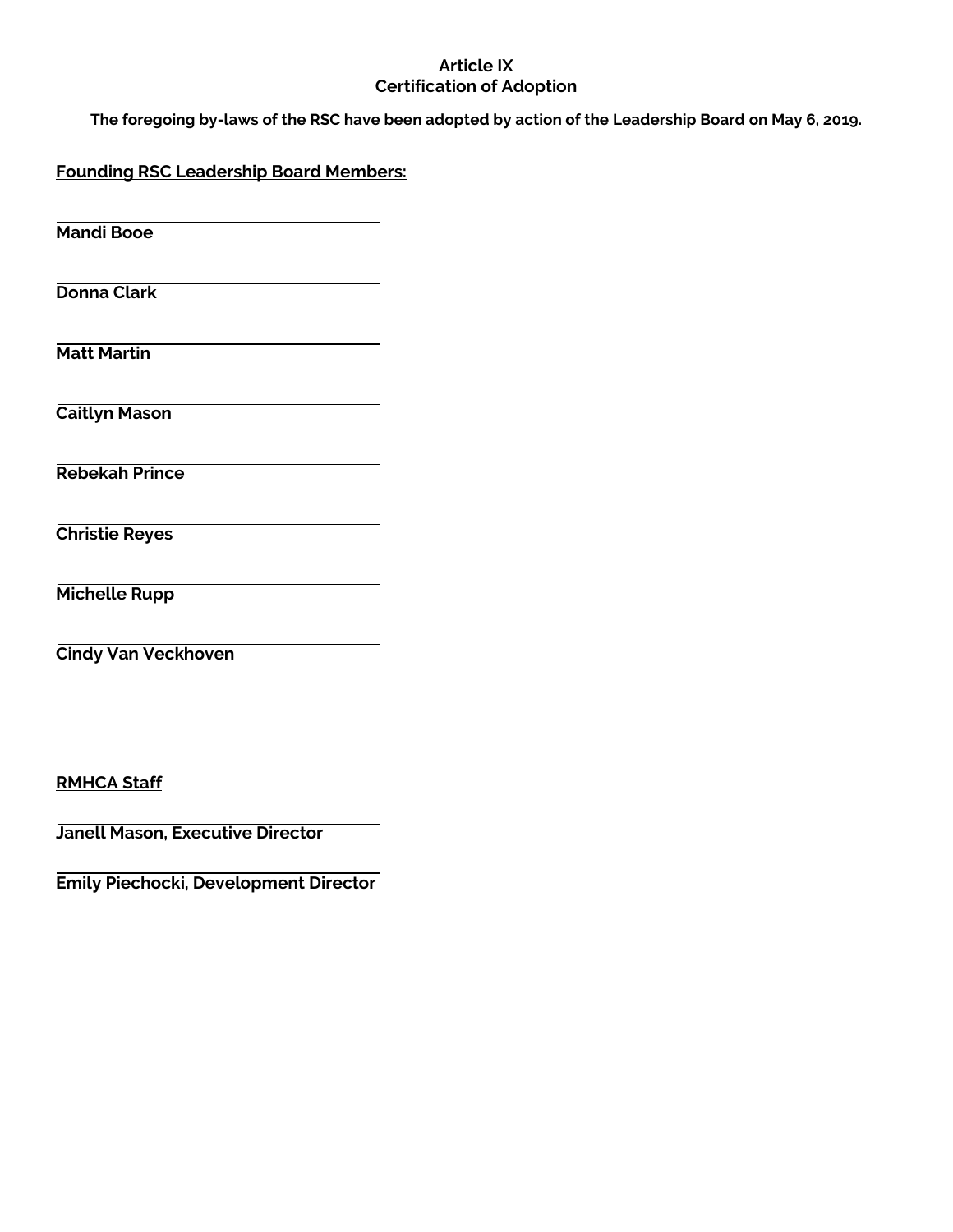#### **Article IX Certification of Adoption**

**The foregoing by-laws of the RSC have been adopted by action of the Leadership Board on May 6, 2019.** 

**Founding RSC Leadership Board Members:**

**Mandi Booe**

**Donna Clark**

**Matt Martin**

**Caitlyn Mason**

**Rebekah Prince**

**Christie Reyes**

**Michelle Rupp**

**Cindy Van Veckhoven**

**RMHCA Staff**

**Janell Mason, Executive Director** 

**Emily Piechocki, Development Director**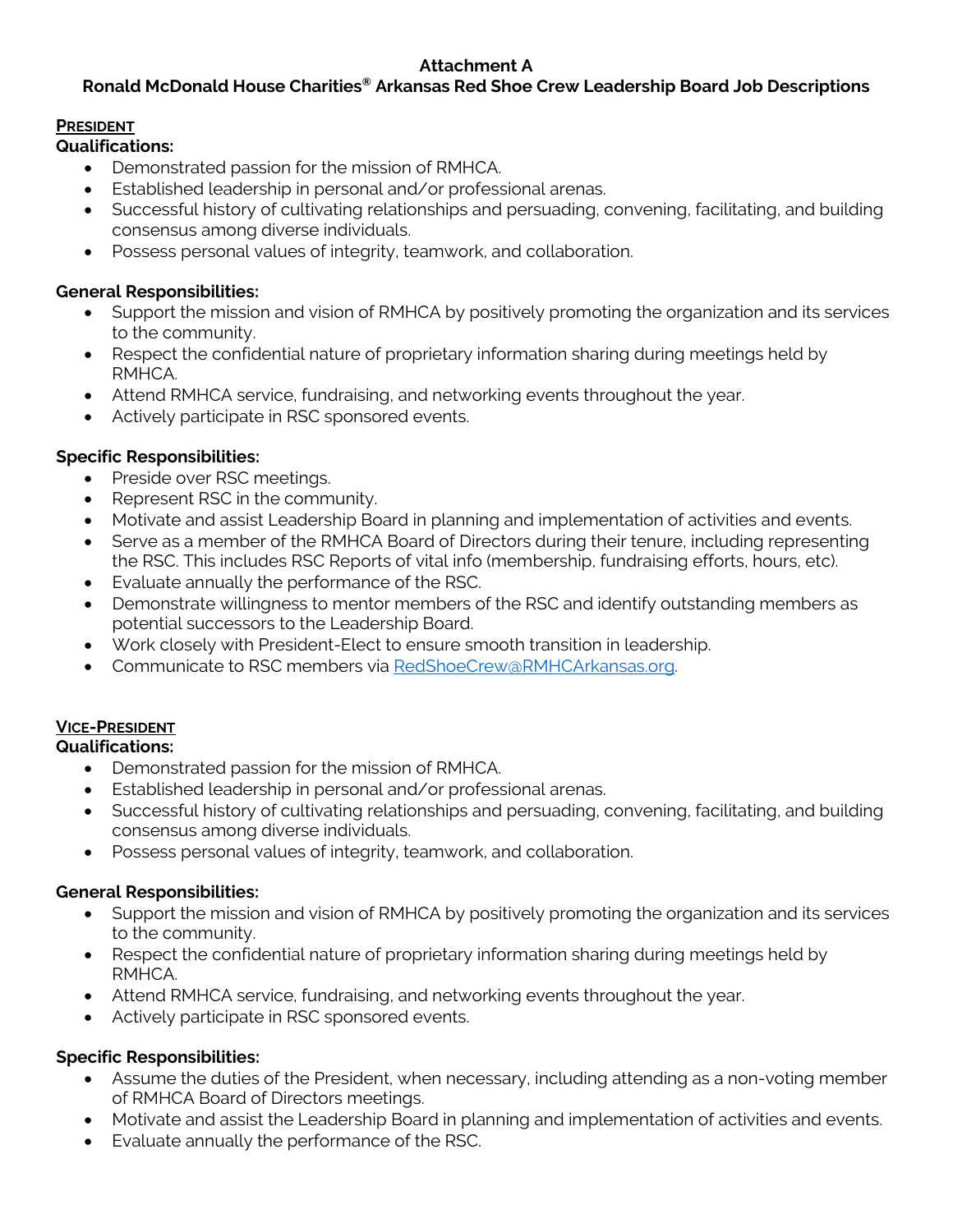## **Attachment A**

# **Ronald McDonald House Charities® Arkansas Red Shoe Crew Leadership Board Job Descriptions**

## **PRESIDENT**

**Qualifications:** 

- Demonstrated passion for the mission of RMHCA.
- Established leadership in personal and/or professional arenas.
- Successful history of cultivating relationships and persuading, convening, facilitating, and building consensus among diverse individuals.
- Possess personal values of integrity, teamwork, and collaboration.

## **General Responsibilities:**

- Support the mission and vision of RMHCA by positively promoting the organization and its services to the community.
- Respect the confidential nature of proprietary information sharing during meetings held by RMHCA.
- Attend RMHCA service, fundraising, and networking events throughout the year.
- Actively participate in RSC sponsored events.

## **Specific Responsibilities:**

- Preside over RSC meetings.
- Represent RSC in the community.
- Motivate and assist Leadership Board in planning and implementation of activities and events.
- Serve as a member of the RMHCA Board of Directors during their tenure, including representing the RSC. This includes RSC Reports of vital info (membership, fundraising efforts, hours, etc).
- Evaluate annually the performance of the RSC.
- Demonstrate willingness to mentor members of the RSC and identify outstanding members as potential successors to the Leadership Board.
- Work closely with President-Elect to ensure smooth transition in leadership.
- Communicate to RSC members via [RedShoeCrew@RMHCArkansas.org.](mailto:RedShoeCrew@RMHCArkansas.org)

# **VICE-PRESIDENT**

## **Qualifications:**

- Demonstrated passion for the mission of RMHCA.
- Established leadership in personal and/or professional arenas.
- Successful history of cultivating relationships and persuading, convening, facilitating, and building consensus among diverse individuals.
- Possess personal values of integrity, teamwork, and collaboration.

## **General Responsibilities:**

- Support the mission and vision of RMHCA by positively promoting the organization and its services to the community.
- Respect the confidential nature of proprietary information sharing during meetings held by RMHCA.
- Attend RMHCA service, fundraising, and networking events throughout the year.
- Actively participate in RSC sponsored events.

## **Specific Responsibilities:**

- Assume the duties of the President, when necessary, including attending as a non-voting member of RMHCA Board of Directors meetings.
- Motivate and assist the Leadership Board in planning and implementation of activities and events.
- Evaluate annually the performance of the RSC.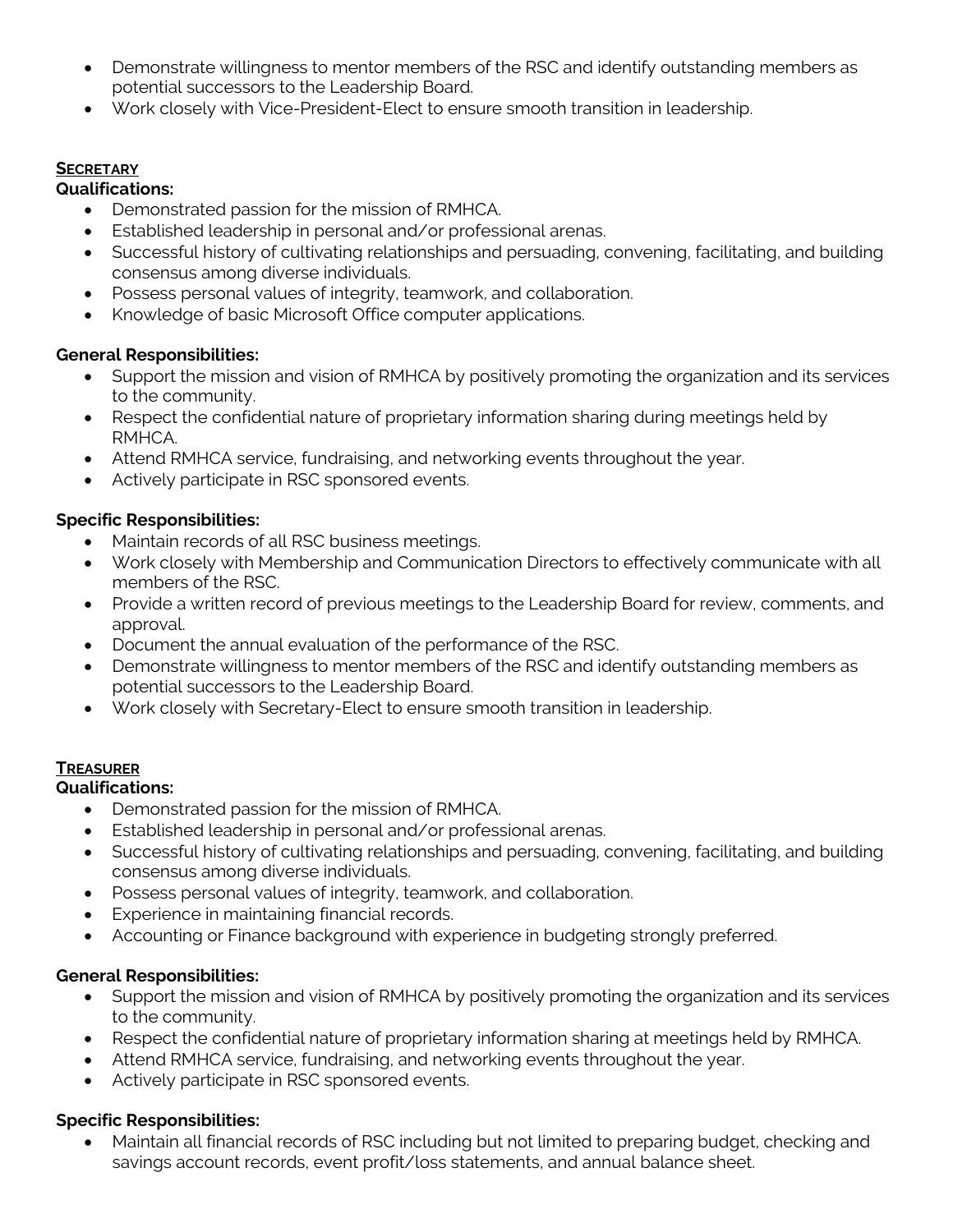- Demonstrate willingness to mentor members of the RSC and identify outstanding members as potential successors to the Leadership Board.
- Work closely with Vice-President-Elect to ensure smooth transition in leadership.

### **SECRETARY**

### **Qualifications:**

- Demonstrated passion for the mission of RMHCA.
- Established leadership in personal and/or professional arenas.
- Successful history of cultivating relationships and persuading, convening, facilitating, and building consensus among diverse individuals.
- Possess personal values of integrity, teamwork, and collaboration.
- Knowledge of basic Microsoft Office computer applications.

## **General Responsibilities:**

- Support the mission and vision of RMHCA by positively promoting the organization and its services to the community.
- Respect the confidential nature of proprietary information sharing during meetings held by RMHCA.
- Attend RMHCA service, fundraising, and networking events throughout the year.
- Actively participate in RSC sponsored events.

## **Specific Responsibilities:**

- Maintain records of all RSC business meetings.
- Work closely with Membership and Communication Directors to effectively communicate with all members of the RSC.
- Provide a written record of previous meetings to the Leadership Board for review, comments, and approval.
- Document the annual evaluation of the performance of the RSC.
- Demonstrate willingness to mentor members of the RSC and identify outstanding members as potential successors to the Leadership Board.
- Work closely with Secretary-Elect to ensure smooth transition in leadership.

## **TREASURER**

## **Qualifications:**

- Demonstrated passion for the mission of RMHCA.
- Established leadership in personal and/or professional arenas.
- Successful history of cultivating relationships and persuading, convening, facilitating, and building consensus among diverse individuals.
- Possess personal values of integrity, teamwork, and collaboration.
- Experience in maintaining financial records.
- Accounting or Finance background with experience in budgeting strongly preferred.

## **General Responsibilities:**

- Support the mission and vision of RMHCA by positively promoting the organization and its services to the community.
- Respect the confidential nature of proprietary information sharing at meetings held by RMHCA.
- Attend RMHCA service, fundraising, and networking events throughout the year.
- Actively participate in RSC sponsored events.

## **Specific Responsibilities:**

• Maintain all financial records of RSC including but not limited to preparing budget, checking and savings account records, event profit/loss statements, and annual balance sheet.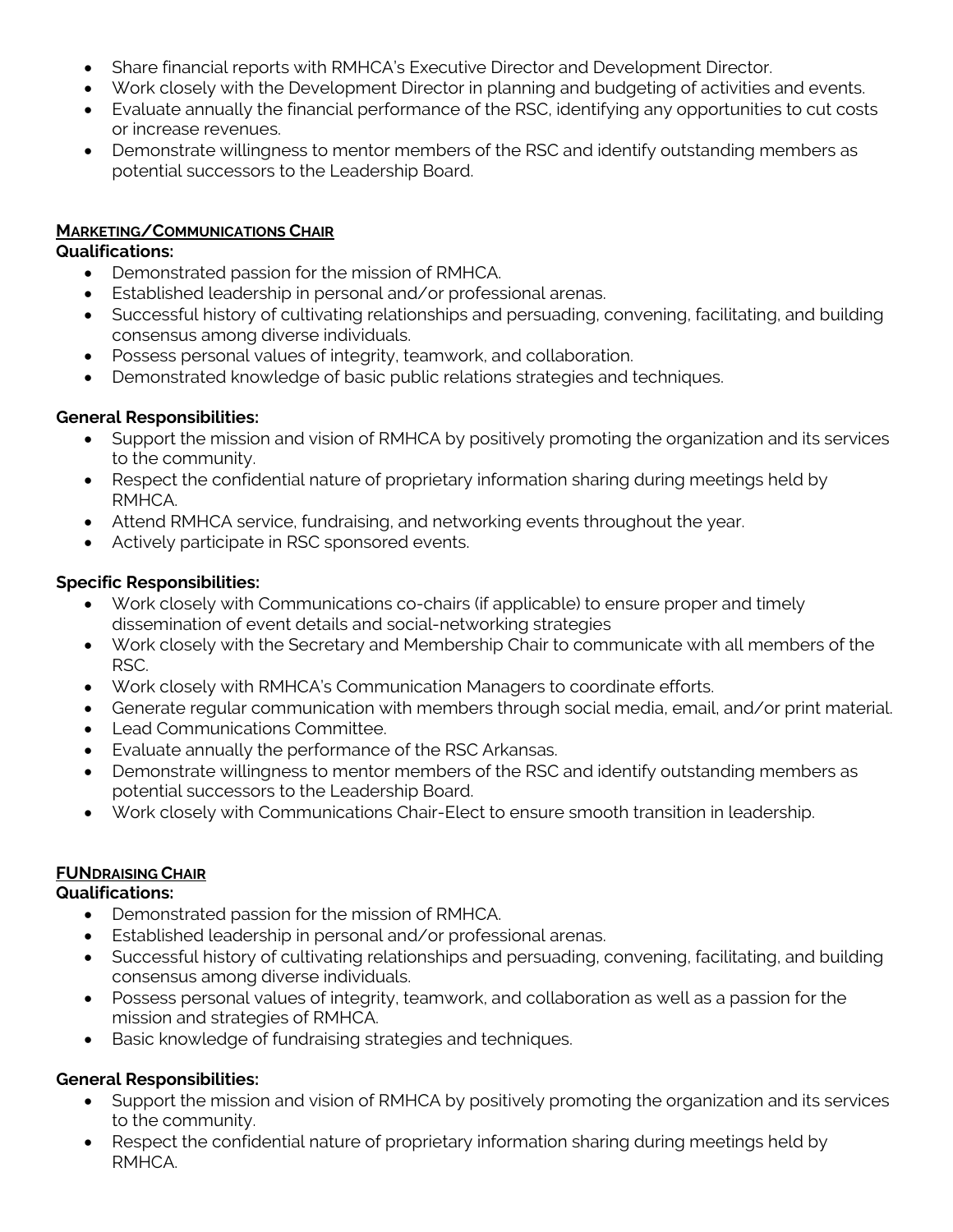- Share financial reports with RMHCA's Executive Director and Development Director.
- Work closely with the Development Director in planning and budgeting of activities and events.
- Evaluate annually the financial performance of the RSC, identifying any opportunities to cut costs or increase revenues.
- Demonstrate willingness to mentor members of the RSC and identify outstanding members as potential successors to the Leadership Board.

## **MARKETING/COMMUNICATIONS CHAIR**

### **Qualifications:**

- Demonstrated passion for the mission of RMHCA.
- Established leadership in personal and/or professional arenas.
- Successful history of cultivating relationships and persuading, convening, facilitating, and building consensus among diverse individuals.
- Possess personal values of integrity, teamwork, and collaboration.
- Demonstrated knowledge of basic public relations strategies and techniques.

## **General Responsibilities:**

- Support the mission and vision of RMHCA by positively promoting the organization and its services to the community.
- Respect the confidential nature of proprietary information sharing during meetings held by RMHCA.
- Attend RMHCA service, fundraising, and networking events throughout the year.
- Actively participate in RSC sponsored events.

## **Specific Responsibilities:**

- Work closely with Communications co-chairs (if applicable) to ensure proper and timely dissemination of event details and social-networking strategies
- Work closely with the Secretary and Membership Chair to communicate with all members of the RSC.
- Work closely with RMHCA's Communication Managers to coordinate efforts.
- Generate regular communication with members through social media, email, and/or print material.
- Lead Communications Committee.
- Evaluate annually the performance of the RSC Arkansas.
- Demonstrate willingness to mentor members of the RSC and identify outstanding members as potential successors to the Leadership Board.
- Work closely with Communications Chair-Elect to ensure smooth transition in leadership.

## **FUNDRAISING CHAIR**

## **Qualifications:**

- Demonstrated passion for the mission of RMHCA.
- Established leadership in personal and/or professional arenas.
- Successful history of cultivating relationships and persuading, convening, facilitating, and building consensus among diverse individuals.
- Possess personal values of integrity, teamwork, and collaboration as well as a passion for the mission and strategies of RMHCA.
- Basic knowledge of fundraising strategies and techniques.

# **General Responsibilities:**

- Support the mission and vision of RMHCA by positively promoting the organization and its services to the community.
- Respect the confidential nature of proprietary information sharing during meetings held by RMHCA.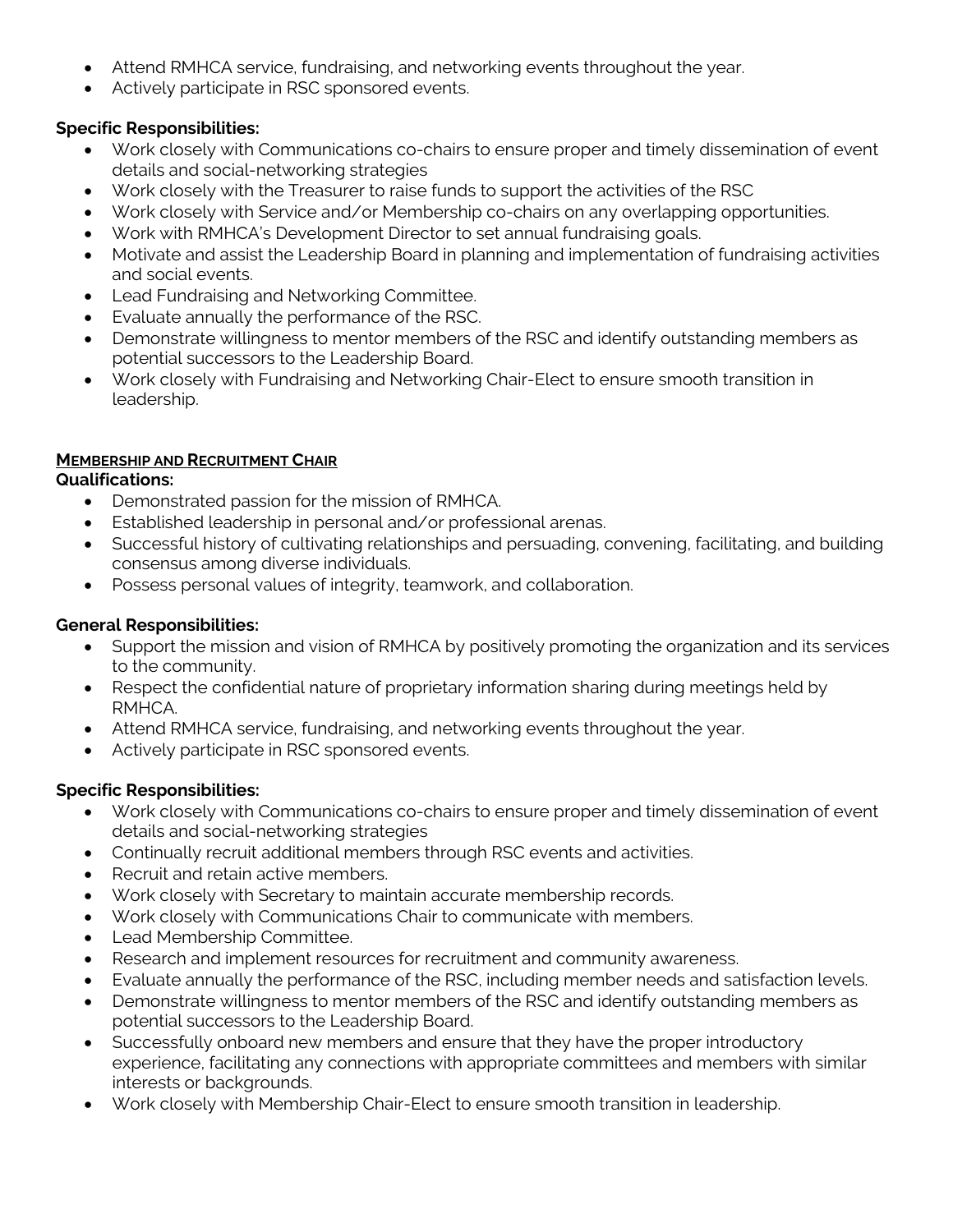- Attend RMHCA service, fundraising, and networking events throughout the year.
- Actively participate in RSC sponsored events.

## **Specific Responsibilities:**

- Work closely with Communications co-chairs to ensure proper and timely dissemination of event details and social-networking strategies
- Work closely with the Treasurer to raise funds to support the activities of the RSC
- Work closely with Service and/or Membership co-chairs on any overlapping opportunities.
- Work with RMHCA's Development Director to set annual fundraising goals.
- Motivate and assist the Leadership Board in planning and implementation of fundraising activities and social events.
- Lead Fundraising and Networking Committee.
- Evaluate annually the performance of the RSC.
- Demonstrate willingness to mentor members of the RSC and identify outstanding members as potential successors to the Leadership Board.
- Work closely with Fundraising and Networking Chair-Elect to ensure smooth transition in leadership.

## **MEMBERSHIP AND RECRUITMENT CHAIR**

### **Qualifications:**

- Demonstrated passion for the mission of RMHCA.
- Established leadership in personal and/or professional arenas.
- Successful history of cultivating relationships and persuading, convening, facilitating, and building consensus among diverse individuals.
- Possess personal values of integrity, teamwork, and collaboration.

## **General Responsibilities:**

- Support the mission and vision of RMHCA by positively promoting the organization and its services to the community.
- Respect the confidential nature of proprietary information sharing during meetings held by RMHCA.
- Attend RMHCA service, fundraising, and networking events throughout the year.
- Actively participate in RSC sponsored events.

## **Specific Responsibilities:**

- Work closely with Communications co-chairs to ensure proper and timely dissemination of event details and social-networking strategies
- Continually recruit additional members through RSC events and activities.
- Recruit and retain active members.
- Work closely with Secretary to maintain accurate membership records.
- Work closely with Communications Chair to communicate with members.
- Lead Membership Committee.
- Research and implement resources for recruitment and community awareness.
- Evaluate annually the performance of the RSC, including member needs and satisfaction levels.
- Demonstrate willingness to mentor members of the RSC and identify outstanding members as potential successors to the Leadership Board.
- Successfully onboard new members and ensure that they have the proper introductory experience, facilitating any connections with appropriate committees and members with similar interests or backgrounds.
- Work closely with Membership Chair-Elect to ensure smooth transition in leadership.